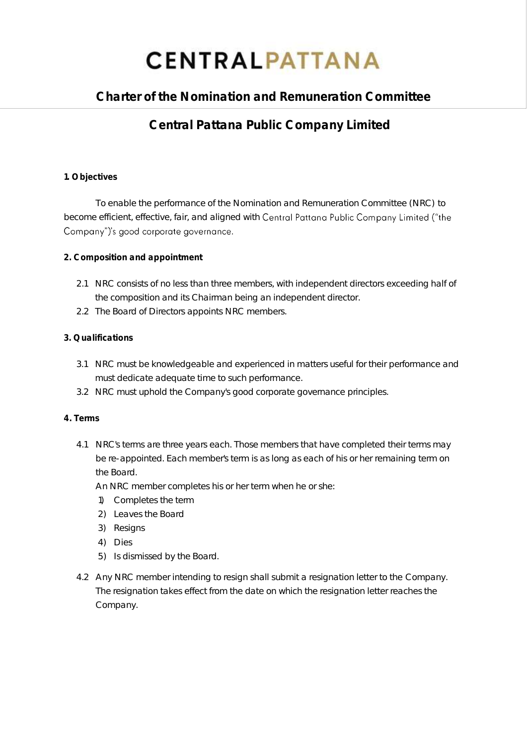# **CENTRALPATTANA**

# **Charter of the Nomination and Remuneration Committee**

# **Central Pattana Public Company Limited**

# **1. Objectives**

To enable the performance of the Nomination and Remuneration Committee (NRC) to become efficient, effective, fair, and aligned with Central Pattana Public Company Limited ("the Company")'s good corporate governance.

- **2. Composition and appointment**
	- 2.1 NRC consists of no less than three members, with independent directors exceeding half of the composition and its Chairman being an independent director.
	- 2.2 The Board of Directors appoints NRC members.

# **3. Qualifications**

- 3.1 NRC must be knowledgeable and experienced in matters useful for their performance and must dedicate adequate time to such performance.
- 3.2 NRC must uphold the Company's good corporate governance principles.
- **4. Terms**
	- 4.1 NRC's terms are three years each. Those members that have completed their terms may be re-appointed. Each member's term is as long as each of his or her remaining term on the Board.
		- An NRC member completes his or her term when he or she:
		- 1) Completes the term
		- 2) Leaves the Board
		- 3) Resigns
		- 4) Dies
		- 5) Is dismissed by the Board.
	- 4.2 Any NRC member intending to resign shall submit a resignation letter to the Company. The resignation takes effect from the date on which the resignation letter reaches the Company.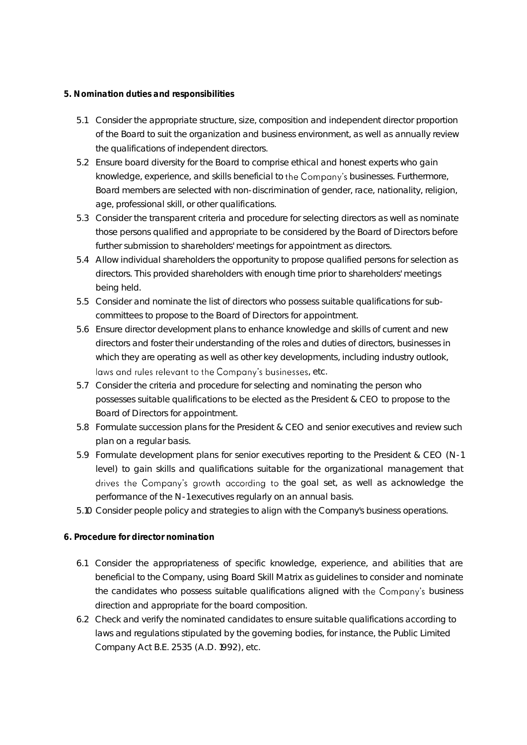#### **5. Nomination duties and responsibilities**

- 5.1 Consider the appropriate structure, size, composition and independent director proportion of the Board to suit the organization and business environment, as well as annually review the qualifications of independent directors.
- 5.2 Ensure board diversity for the Board to comprise ethical and honest experts who gain knowledge, experience, and skills beneficial to the Company's businesses. Furthermore, Board members are selected with non-discrimination of gender, race, nationality, religion, age, professional skill, or other qualifications.
- 5.3 Consider the transparent criteria and procedure for selecting directors as well as nominate those persons qualified and appropriate to be considered by the Board of Directors before further submission to shareholders' meetings for appointment as directors.
- 5.4 Allow individual shareholders the opportunity to propose qualified persons for selection as directors. This provided shareholders with enough time prior to shareholders' meetings being held.
- 5.5 Consider and nominate the list of directors who possess suitable qualifications for subcommittees to propose to the Board of Directors for appointment.
- 5.6 Ensure director development plans to enhance knowledge and skills of current and new directors and foster their understanding of the roles and duties of directors, businesses in which they are operating as well as other key developments, including industry outlook, laws and rules relevant to the Company's businesses, etc.
- 5.7 Consider the criteria and procedure for selecting and nominating the person who possesses suitable qualifications to be elected as the President & CEO to propose to the Board of Directors for appointment.
- 5.8 Formulate succession plans for the President & CEO and senior executives and review such plan on a regular basis.
- 5.9 Formulate development plans for senior executives reporting to the President & CEO (N-1 level) to gain skills and qualifications suitable for the organizational management that drives the Company's growth according to the goal set, as well as acknowledge the performance of the N-1 executives regularly on an annual basis.
- 5.10 Consider people policy and strategies to align with the Company's business operations.

## **6. Procedure for director nomination**

- 6.1 Consider the appropriateness of specific knowledge, experience, and abilities that are beneficial to the Company, using Board Skill Matrix as guidelines to consider and nominate the candidates who possess suitable qualifications aligned with the Company's business direction and appropriate for the board composition.
- 6.2 Check and verify the nominated candidates to ensure suitable qualifications according to laws and regulations stipulated by the governing bodies, for instance, the Public Limited Company Act B.E. 2535 (A.D. 1992), etc.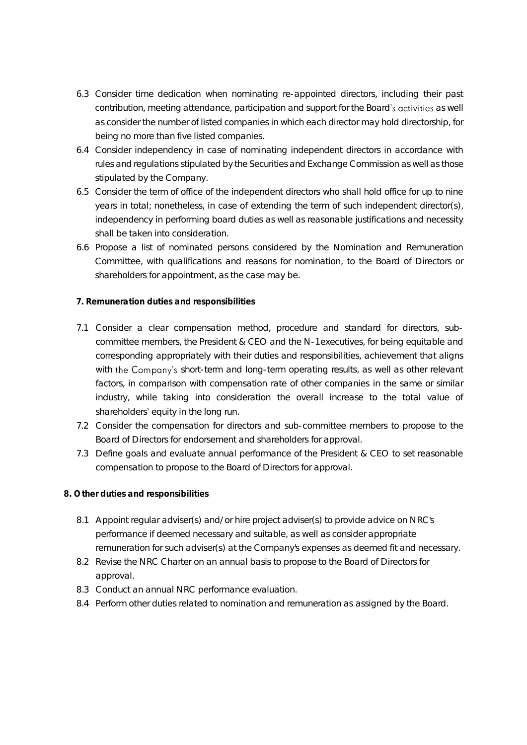- 6.3 Consider time dedication when nominating re-appointed directors, including their past contribution, meeting attendance, participation and support for the Board's activities as well as consider the number of listed companies in which each director may hold directorship, for being no more than five listed companies.
- 6.4 Consider independency in case of nominating independent directors in accordance with rules and regulations stipulated by the Securities and Exchange Commission as well as those stipulated by the Company.
- 6.5 Consider the term of office of the independent directors who shall hold office for up to nine years in total; nonetheless, in case of extending the term of such independent director(s), independency in performing board duties as well as reasonable justifications and necessity shall be taken into consideration.
- 6.6 Propose a list of nominated persons considered by the Nomination and Remuneration Committee, with qualifications and reasons for nomination, to the Board of Directors or shareholders for appointment, as the case may be.

## **7. Remuneration duties and responsibilities**

- 7.1 Consider a clear compensation method, procedure and standard for directors, subcommittee members, the President & CEO and the N-1 executives, for being equitable and corresponding appropriately with their duties and responsibilities, achievement that aligns with the Company's short-term and long-term operating results, as well as other relevant factors, in comparison with compensation rate of other companies in the same or similar industry, while taking into consideration the overall increase to the total value of shareholders' equity in the long run.
- 7.2 Consider the compensation for directors and sub-committee members to propose to the Board of Directors for endorsement and shareholders for approval.
- 7.3 Define goals and evaluate annual performance of the President & CEO to set reasonable compensation to propose to the Board of Directors for approval.
- **8. Other duties and responsibilities**
	- 8.1 Appoint regular adviser(s) and/or hire project adviser(s) to provide advice on NRC's performance if deemed necessary and suitable, as well as consider appropriate remuneration for such adviser(s) at the Company's expenses as deemed fit and necessary.
	- 8.2 Revise the NRC Charter on an annual basis to propose to the Board of Directors for approval.
	- 8.3 Conduct an annual NRC performance evaluation.
	- 8.4 Perform other duties related to nomination and remuneration as assigned by the Board.